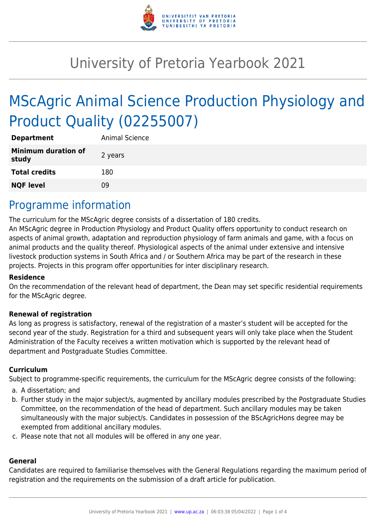

# University of Pretoria Yearbook 2021

# MScAgric Animal Science Production Physiology and Product Quality (02255007)

| <b>Department</b>                   | <b>Animal Science</b> |
|-------------------------------------|-----------------------|
| <b>Minimum duration of</b><br>study | 2 years               |
| <b>Total credits</b>                | 180                   |
| <b>NQF level</b>                    | ng                    |

### Programme information

The curriculum for the MScAgric degree consists of a dissertation of 180 credits.

An MScAgric degree in Production Physiology and Product Quality offers opportunity to conduct research on aspects of animal growth, adaptation and reproduction physiology of farm animals and game, with a focus on animal products and the quality thereof. Physiological aspects of the animal under extensive and intensive livestock production systems in South Africa and / or Southern Africa may be part of the research in these projects. Projects in this program offer opportunities for inter disciplinary research.

#### **Residence**

On the recommendation of the relevant head of department, the Dean may set specific residential requirements for the MScAgric degree.

#### **Renewal of registration**

As long as progress is satisfactory, renewal of the registration of a master's student will be accepted for the second year of the study. Registration for a third and subsequent years will only take place when the Student Administration of the Faculty receives a written motivation which is supported by the relevant head of department and Postgraduate Studies Committee.

#### **Curriculum**

Subject to programme-specific requirements, the curriculum for the MScAgric degree consists of the following:

- a. A dissertation; and
- b. Further study in the major subject/s, augmented by ancillary modules prescribed by the Postgraduate Studies Committee, on the recommendation of the head of department. Such ancillary modules may be taken simultaneously with the major subject/s. Candidates in possession of the BScAgricHons degree may be exempted from additional ancillary modules.
- c. Please note that not all modules will be offered in any one year.

#### **General**

Candidates are required to familiarise themselves with the General Regulations regarding the maximum period of registration and the requirements on the submission of a draft article for publication.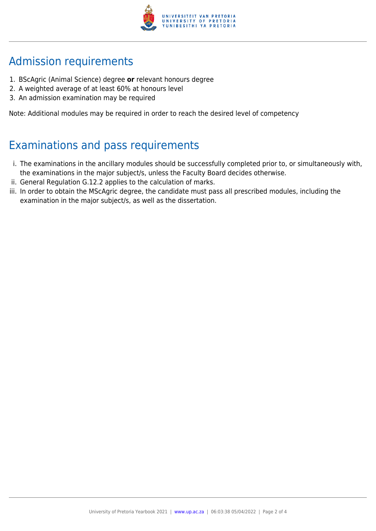

# Admission requirements

- 1. BScAgric (Animal Science) degree **or** relevant honours degree
- 2. A weighted average of at least 60% at honours level
- 3. An admission examination may be required

Note: Additional modules may be required in order to reach the desired level of competency

## Examinations and pass requirements

- i. The examinations in the ancillary modules should be successfully completed prior to, or simultaneously with, the examinations in the major subject/s, unless the Faculty Board decides otherwise.
- ii. General Regulation G.12.2 applies to the calculation of marks.
- iii. In order to obtain the MScAgric degree, the candidate must pass all prescribed modules, including the examination in the major subject/s, as well as the dissertation.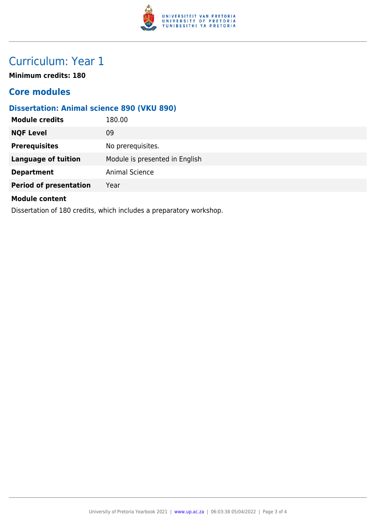

## Curriculum: Year 1

**Minimum credits: 180**

### **Core modules**

### **Dissertation: Animal science 890 (VKU 890)**

| <b>Module credits</b>                                               | 180.00                         |  |
|---------------------------------------------------------------------|--------------------------------|--|
| <b>NQF Level</b>                                                    | 09                             |  |
| <b>Prerequisites</b>                                                | No prerequisites.              |  |
| <b>Language of tuition</b>                                          | Module is presented in English |  |
| <b>Department</b>                                                   | Animal Science                 |  |
| <b>Period of presentation</b>                                       | Year                           |  |
| <b>Module content</b>                                               |                                |  |
| Dissertation of 180 credits, which includes a preparatory workshop. |                                |  |

University of Pretoria Yearbook 2021 | [www.up.ac.za](https://www.up.ac.za/yearbooks/home) | 06:03:38 05/04/2022 | Page 3 of 4